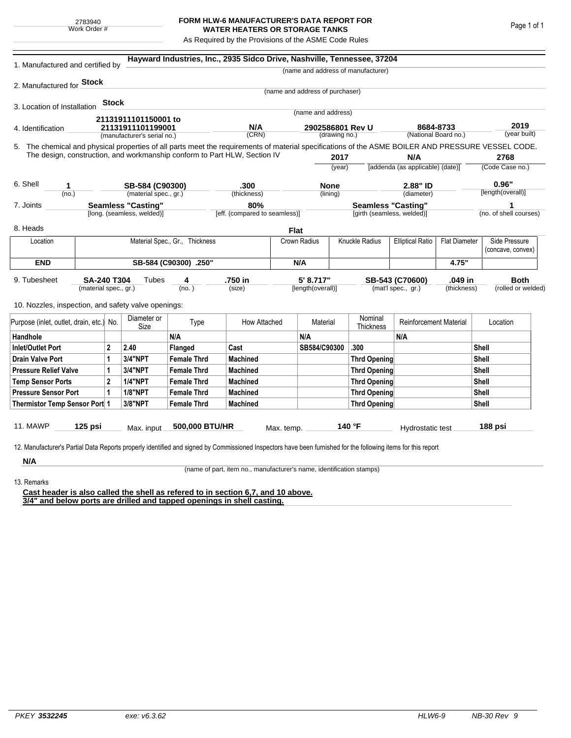## **FORM HLW-6 MANUFACTURER'S DATA REPORT FOR WATER HEATERS OR STORAGE TANKS**

As Required by the Provisions of the ASME Code Rules

| 1. Manufactured and certified by                                                                                                                                                  |                               |              |                       |                                | Hayward Industries, Inc., 2935 Sidco Drive, Nashville, Tennessee, 37204   |               |                                 |                     |                                           |                               |                         |                        |                   |
|-----------------------------------------------------------------------------------------------------------------------------------------------------------------------------------|-------------------------------|--------------|-----------------------|--------------------------------|---------------------------------------------------------------------------|---------------|---------------------------------|---------------------|-------------------------------------------|-------------------------------|-------------------------|------------------------|-------------------|
|                                                                                                                                                                                   |                               |              |                       |                                |                                                                           |               |                                 |                     | (name and address of manufacturer)        |                               |                         |                        |                   |
| 2. Manufactured for <b>Stock</b>                                                                                                                                                  |                               |              |                       |                                |                                                                           |               |                                 |                     |                                           |                               |                         |                        |                   |
|                                                                                                                                                                                   |                               |              |                       |                                |                                                                           |               | (name and address of purchaser) |                     |                                           |                               |                         |                        |                   |
| 3. Location of Installation                                                                                                                                                       |                               | <b>Stock</b> |                       |                                |                                                                           |               |                                 |                     |                                           |                               |                         |                        |                   |
|                                                                                                                                                                                   |                               |              | 21131911101150001 to  |                                |                                                                           |               | (name and address)              |                     |                                           |                               |                         |                        |                   |
| 4. Identification                                                                                                                                                                 |                               |              | 21131911101199001     |                                | N/A                                                                       |               | 2902586801 Rev U                |                     |                                           | 8684-8733                     |                         | 2019<br>(year built)   |                   |
| (manufacturer's serial no.)<br>5. The chemical and physical properties of all parts meet the requirements of material specifications of the ASME BOILER AND PRESSURE VESSEL CODE. |                               |              |                       |                                | (CRN)                                                                     | (drawing no.) |                                 |                     | (National Board no.)                      |                               |                         |                        |                   |
|                                                                                                                                                                                   |                               |              |                       |                                | The design, construction, and workmanship conform to Part HLW, Section IV |               |                                 |                     |                                           |                               |                         |                        |                   |
|                                                                                                                                                                                   |                               |              |                       |                                |                                                                           |               | 2017<br>(year)                  |                     | N/A<br>[addenda (as applicable) (date)]   |                               | 2768<br>(Code Case no.) |                        |                   |
|                                                                                                                                                                                   |                               |              |                       |                                |                                                                           |               |                                 |                     |                                           |                               |                         |                        |                   |
| 6. Shell<br>1                                                                                                                                                                     |                               |              | SB-584 (C90300)       |                                | .300                                                                      |               | <b>None</b>                     |                     |                                           | 2.88" ID                      |                         | 0.96"                  |                   |
| (no.)                                                                                                                                                                             |                               |              | (material spec., gr.) |                                | (thickness)                                                               |               | (lining)                        |                     | (diameter)                                |                               |                         |                        | [length(overall)] |
| 7. Joints                                                                                                                                                                         | <b>Seamless "Casting"</b>     |              |                       |                                | 80%                                                                       |               |                                 |                     | <b>Seamless "Casting"</b>                 |                               |                         |                        |                   |
| [long. (seamless, welded)]                                                                                                                                                        |                               |              |                       | [eff. (compared to seamless)]  |                                                                           |               | [girth (seamless, welded)]      |                     |                                           |                               |                         | (no. of shell courses) |                   |
| 8. Heads                                                                                                                                                                          |                               |              |                       |                                |                                                                           | Flat          |                                 |                     |                                           |                               |                         |                        |                   |
| Location                                                                                                                                                                          |                               |              |                       | Material Spec., Gr., Thickness |                                                                           |               | Crown Radius                    |                     | Knuckle Radius<br><b>Elliptical Ratio</b> |                               | <b>Flat Diameter</b>    | Side Pressure          |                   |
|                                                                                                                                                                                   |                               |              |                       |                                |                                                                           |               |                                 |                     |                                           |                               | (concave, convex)       |                        |                   |
| <b>END</b>                                                                                                                                                                        | SB-584 (C90300) .250"         |              |                       |                                |                                                                           |               | N/A                             |                     |                                           |                               | 4.75"                   |                        |                   |
| 9. Tubesheet                                                                                                                                                                      | <b>SA-240 T304</b>            |              | Tubes                 | 4                              | .750 in                                                                   |               | 5' 8.717"                       |                     |                                           | SB-543 (C70600)<br>.049 in    |                         |                        | <b>Both</b>       |
| (material spec., gr.)                                                                                                                                                             |                               |              | (no.)                 |                                | (size)                                                                    |               | [length(overall)]               |                     | (mat'l spec., gr.)                        |                               | (thickness)             | (rolled or welded)     |                   |
| 10. Nozzles, inspection, and safety valve openings:                                                                                                                               |                               |              |                       |                                |                                                                           |               |                                 |                     |                                           |                               |                         |                        |                   |
| Purpose (inlet, outlet, drain, etc.) No.                                                                                                                                          |                               |              | Diameter or           | Type                           | How Attached                                                              |               | Material                        |                     | Nominal                                   | <b>Reinforcement Material</b> |                         |                        | Location          |
|                                                                                                                                                                                   |                               |              | Size                  |                                |                                                                           |               |                                 |                     | Thickness                                 |                               |                         |                        |                   |
| Handhole                                                                                                                                                                          |                               |              |                       | N/A                            |                                                                           |               | N/A                             |                     |                                           | N/A                           |                         |                        |                   |
|                                                                                                                                                                                   | <b>Inlet/Outlet Port</b><br>2 |              | 2.40                  | Flanged                        | Cast                                                                      |               | SB584/C90300                    |                     | .300                                      |                               |                         | Shell                  |                   |
| <b>Drain Valve Port</b>                                                                                                                                                           |                               |              | <b>3/4"NPT</b>        | <b>Female Thrd</b>             | <b>Machined</b>                                                           |               |                                 |                     | <b>Thrd Opening</b>                       |                               | Shell                   |                        |                   |
| <b>Pressure Relief Valve</b><br>1                                                                                                                                                 |                               |              | 3/4"NPT               | <b>Female Thrd</b>             | <b>Machined</b>                                                           |               |                                 | <b>Thrd Opening</b> |                                           |                               |                         | Shell                  |                   |
| $\overline{2}$<br><b>Temp Sensor Ports</b>                                                                                                                                        |                               |              | <b>1/4"NPT</b>        | <b>Female Thrd</b>             | <b>Machined</b>                                                           |               |                                 |                     | <b>Thrd Opening</b>                       |                               | Shell                   |                        |                   |
| <b>Pressure Sensor Port</b><br>1                                                                                                                                                  |                               |              | <b>1/8"NPT</b>        | <b>Female Thrd</b>             | <b>Machined</b>                                                           |               |                                 |                     | Thrd Opening                              |                               |                         | Shell                  |                   |
| Thermistor Temp Sensor Port 1                                                                                                                                                     |                               |              | 3/8"NPT               | <b>Female Thrd</b>             | <b>Machined</b>                                                           |               |                                 |                     | Thrd Opening                              |                               |                         | Shell                  |                   |
| 11. MAWP                                                                                                                                                                          | $125$ psi                     |              | Max. input            | 500,000 BTU/HR                 |                                                                           | Max. temp.    |                                 |                     | 140 °F                                    | Hydrostatic test              |                         |                        | 188 psi           |
|                                                                                                                                                                                   |                               |              |                       |                                |                                                                           |               |                                 |                     |                                           |                               |                         |                        |                   |
| 12. Manufacturer's Partial Data Reports properly identified and signed by Commissioned Inspectors have been furnished for the following items for this report                     |                               |              |                       |                                |                                                                           |               |                                 |                     |                                           |                               |                         |                        |                   |
| N/A                                                                                                                                                                               |                               |              |                       |                                |                                                                           |               |                                 |                     |                                           |                               |                         |                        |                   |

(name of part, item no., manufacturer's name, identification stamps)

13. Remarks

**Cast header is also called the shell as refered to in section 6,7, and 10 above. 3/4" and below ports are drilled and tapped openings in shell casting.**